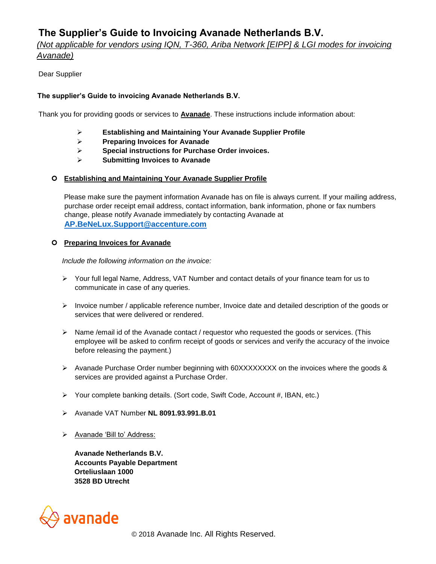# **The Supplier's Guide to Invoicing Avanade Netherlands B.V.**

*(Not applicable for vendors using IQN, T-360, Ariba Network [EIPP] & LGI modes for invoicing Avanade)*

# Dear Supplier

# **The supplier's Guide to invoicing Avanade Netherlands B.V.**

Thank you for providing goods or services to **Avanade**. These instructions include information about:

- ➢ **Establishing and Maintaining Your Avanade Supplier Profile**
- ➢ **Preparing Invoices for Avanade**
- ➢ **Special instructions for Purchase Order invoices.**
- ➢ **Submitting Invoices to Avanade**

## **Establishing and Maintaining Your Avanade Supplier Profile**

Please make sure the payment information Avanade has on file is always current. If your mailing address, purchase order receipt email address, contact information, bank information, phone or fax numbers change, please notify Avanade immediately by contacting Avanade at **AP.BeNeLux.Support@accenture.com**

#### **Preparing Invoices for Avanade**

*Include the following information on the invoice:*

- ➢ Your full legal Name, Address, VAT Number and contact details of your finance team for us to communicate in case of any queries.
- ➢ Invoice number / applicable reference number, Invoice date and detailed description of the goods or services that were delivered or rendered.
- ➢ Name /email id of the Avanade contact / requestor who requested the goods or services. (This employee will be asked to confirm receipt of goods or services and verify the accuracy of the invoice before releasing the payment.)
- ➢ Avanade Purchase Order number beginning with 60XXXXXXXX on the invoices where the goods & services are provided against a Purchase Order.
- ➢ Your complete banking details. (Sort code, Swift Code, Account #, IBAN, etc.)
- ➢ Avanade VAT Number **NL 8091.93.991.B.01**
- ➢ Avanade 'Bill to' Address:

**Avanade Netherlands B.V. Accounts Payable Department Orteliuslaan 1000 3528 BD Utrecht** 

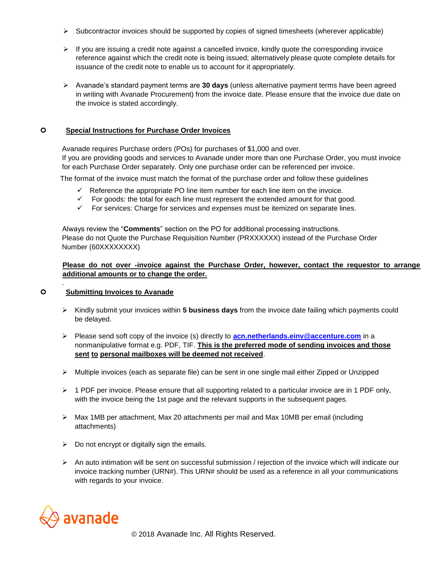- ➢ Subcontractor invoices should be supported by copies of signed timesheets (wherever applicable)
- $\triangleright$  If you are issuing a credit note against a cancelled invoice, kindly quote the corresponding invoice reference against which the credit note is being issued; alternatively please quote complete details for issuance of the credit note to enable us to account for it appropriately.
- ➢ Avanade's standard payment terms are **30 days** (unless alternative payment terms have been agreed in writing with Avanade Procurement) from the invoice date. Please ensure that the invoice due date on the invoice is stated accordingly.

## **Special Instructions for Purchase Order Invoices**

Avanade requires Purchase orders (POs) for purchases of \$1,000 and over. If you are providing goods and services to Avanade under more than one Purchase Order, you must invoice for each Purchase Order separately. Only one purchase order can be referenced per invoice.

The format of the invoice must match the format of the purchase order and follow these guidelines

- $\checkmark$  Reference the appropriate PO line item number for each line item on the invoice.
- $\checkmark$  For goods: the total for each line must represent the extended amount for that good.
- $\checkmark$  For services: Charge for services and expenses must be itemized on separate lines.

 Always review the "**Comments**" section on the PO for additional processing instructions. Please do not Quote the Purchase Requisition Number (PRXXXXXX) instead of the Purchase Order Number (60XXXXXXXX)

### **Please do not over -invoice against the Purchase Order, however, contact the requestor to arrange additional amounts or to change the order.**

#### **Submitting Invoices to Avanade**

.

- ➢ Kindly submit your invoices within **5 business days** from the invoice date failing which payments could be delayed.
- ➢ Please send soft copy of the invoice (s) directly to **acn.netherlands.einv@accenture.com** in a nonmanipulative format e.g. PDF, TIF. **This is the preferred mode of sending invoices and those sent to personal mailboxes will be deemed not received**.
- ➢ Multiple invoices (each as separate file) can be sent in one single mail either Zipped or Unzipped
- $\triangleright$  1 PDF per invoice. Please ensure that all supporting related to a particular invoice are in 1 PDF only, with the invoice being the 1st page and the relevant supports in the subsequent pages.
- $\triangleright$  Max 1MB per attachment, Max 20 attachments per mail and Max 10MB per email (including attachments)
- $\triangleright$  Do not encrypt or digitally sign the emails.
- ➢ An auto intimation will be sent on successful submission / rejection of the invoice which will indicate our invoice tracking number (URN#). This URN# should be used as a reference in all your communications with regards to your invoice.